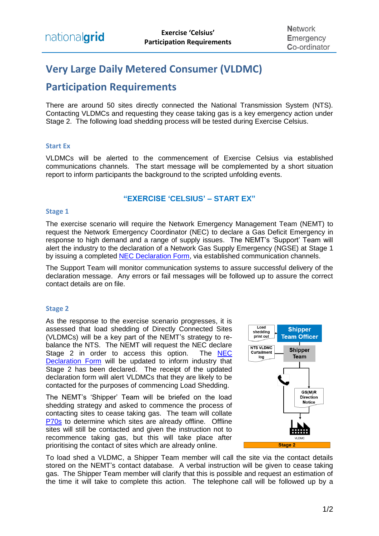# **Very Large Daily Metered Consumer (VLDMC)**

## **Participation Requirements**

There are around 50 sites directly connected the National Transmission System (NTS). Contacting VLDMCs and requesting they cease taking gas is a key emergency action under Stage 2. The following load shedding process will be tested during Exercise Celsius.

#### **Start Ex**

VLDMCs will be alerted to the commencement of Exercise Celsius via established communications channels. The start message will be complemented by a short situation report to inform participants the background to the scripted unfolding events.

### **"EXERCISE 'CELSIUS' – START EX"**

#### **Stage 1**

The exercise scenario will require the Network Emergency Management Team (NEMT) to request the Network Emergency Coordinator (NEC) to declare a Gas Deficit Emergency in response to high demand and a range of supply issues. The NEMT's 'Support' Team will alert the industry to the declaration of a Network Gas Supply Emergency (NGSE) at Stage 1 by issuing a completed [NEC Declaration Form,](https://www.nationalgrid.com/sites/default/files/documents/40493-NEC%20Declaration%20or%20industry%20update%20form.pdf) via established communication channels.

The Support Team will monitor communication systems to assure successful delivery of the declaration message. Any errors or fail messages will be followed up to assure the correct contact details are on file.

#### **Stage 2**

As the response to the exercise scenario progresses, it is assessed that load shedding of Directly Connected Sites (VLDMCs) will be a key part of the NEMT's strategy to rebalance the NTS. The NEMT will request the NEC declare<br>Stage 2 in order to access this option. The NEC Stage 2 in order to access this option. [Declaration Form](https://www.nationalgrid.com/sites/default/files/documents/40493-NEC%20Declaration%20or%20industry%20update%20form.pdf) will be updated to inform industry that Stage 2 has been declared. The receipt of the updated declaration form will alert VLDMCs that they are likely to be contacted for the purposes of commencing Load Shedding.

The NEMT's 'Shipper' Team will be briefed on the load shedding strategy and asked to commence the process of contacting sites to cease taking gas. The team will collate [P70s](https://www.nationalgrid.com/sites/default/files/documents/5028-NTS%20P70.xls) to determine which sites are already offline. Offline sites will still be contacted and given the instruction not to recommence taking gas, but this will take place after prioritising the contact of sites which are already online.



To load shed a VLDMC, a Shipper Team member will call the site via the contact details stored on the NEMT's contact database. A verbal instruction will be given to cease taking gas. The Shipper Team member will clarify that this is possible and request an estimation of the time it will take to complete this action. The telephone call will be followed up by a